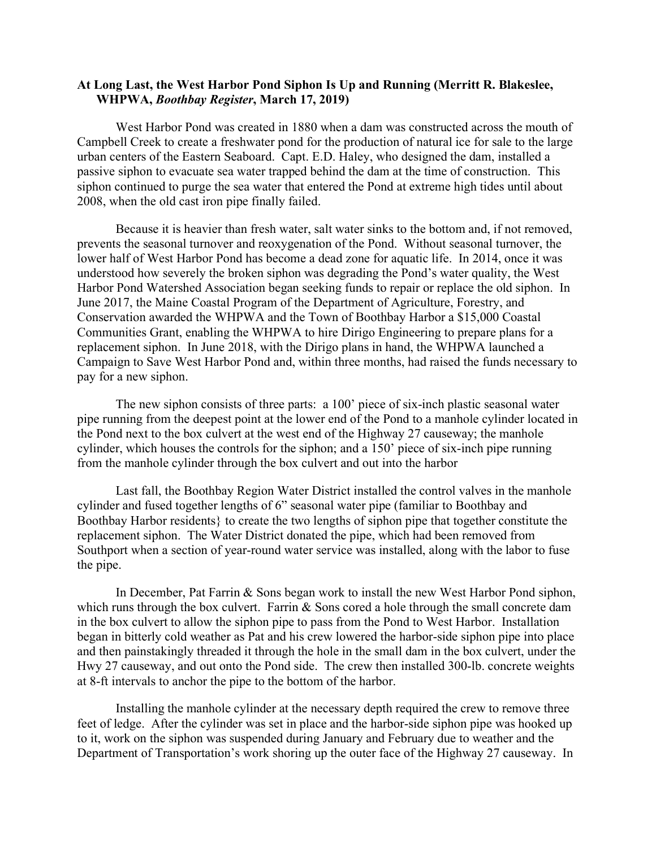## **At Long Last, the West Harbor Pond Siphon Is Up and Running (Merritt R. Blakeslee, WHPWA,** *Boothbay Register***, March 17, 2019)**

West Harbor Pond was created in 1880 when a dam was constructed across the mouth of Campbell Creek to create a freshwater pond for the production of natural ice for sale to the large urban centers of the Eastern Seaboard. Capt. E.D. Haley, who designed the dam, installed a passive siphon to evacuate sea water trapped behind the dam at the time of construction. This siphon continued to purge the sea water that entered the Pond at extreme high tides until about 2008, when the old cast iron pipe finally failed.

Because it is heavier than fresh water, salt water sinks to the bottom and, if not removed, prevents the seasonal turnover and reoxygenation of the Pond. Without seasonal turnover, the lower half of West Harbor Pond has become a dead zone for aquatic life. In 2014, once it was understood how severely the broken siphon was degrading the Pond's water quality, the West Harbor Pond Watershed Association began seeking funds to repair or replace the old siphon. In June 2017, the Maine Coastal Program of the Department of Agriculture, Forestry, and Conservation awarded the WHPWA and the Town of Boothbay Harbor a \$15,000 Coastal Communities Grant, enabling the WHPWA to hire Dirigo Engineering to prepare plans for a replacement siphon. In June 2018, with the Dirigo plans in hand, the WHPWA launched a Campaign to Save West Harbor Pond and, within three months, had raised the funds necessary to pay for a new siphon.

The new siphon consists of three parts: a 100' piece of six-inch plastic seasonal water pipe running from the deepest point at the lower end of the Pond to a manhole cylinder located in the Pond next to the box culvert at the west end of the Highway 27 causeway; the manhole cylinder, which houses the controls for the siphon; and a 150' piece of six-inch pipe running from the manhole cylinder through the box culvert and out into the harbor

Last fall, the Boothbay Region Water District installed the control valves in the manhole cylinder and fused together lengths of 6" seasonal water pipe (familiar to Boothbay and Boothbay Harbor residents} to create the two lengths of siphon pipe that together constitute the replacement siphon. The Water District donated the pipe, which had been removed from Southport when a section of year-round water service was installed, along with the labor to fuse the pipe.

In December, Pat Farrin & Sons began work to install the new West Harbor Pond siphon, which runs through the box culvert. Farrin  $&$  Sons cored a hole through the small concrete dam in the box culvert to allow the siphon pipe to pass from the Pond to West Harbor. Installation began in bitterly cold weather as Pat and his crew lowered the harbor-side siphon pipe into place and then painstakingly threaded it through the hole in the small dam in the box culvert, under the Hwy 27 causeway, and out onto the Pond side. The crew then installed 300-lb. concrete weights at 8-ft intervals to anchor the pipe to the bottom of the harbor.

Installing the manhole cylinder at the necessary depth required the crew to remove three feet of ledge. After the cylinder was set in place and the harbor-side siphon pipe was hooked up to it, work on the siphon was suspended during January and February due to weather and the Department of Transportation's work shoring up the outer face of the Highway 27 causeway. In